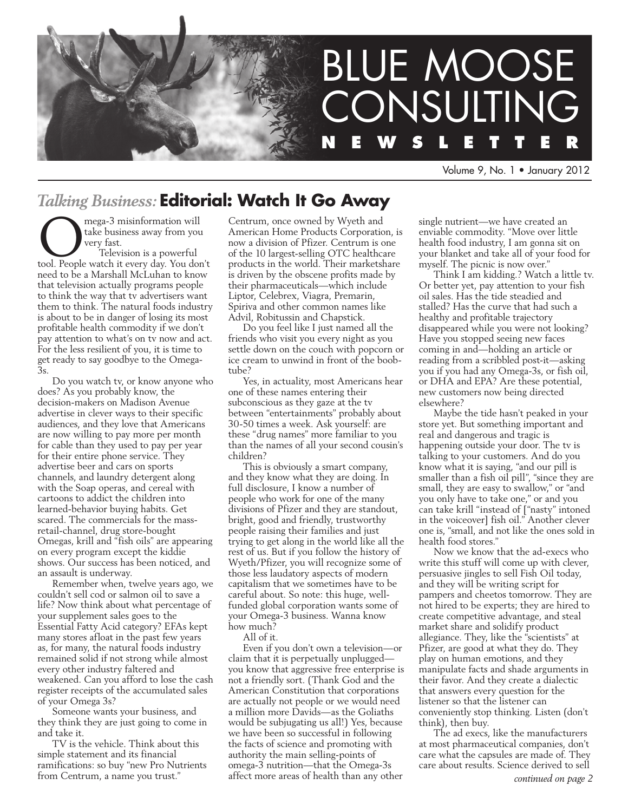

Volume 9, No. 1 • January 2012

## *Talking Business:* **Editorial: Watch It Go Away**

**OMEGA-3** misinformation will<br>take business away from you<br>very fast.<br>Television is a powerful<br>tool. People watch it every day. You don't take business away from you very fast. Television is a powerful need to be a Marshall McLuhan to know that television actually programs people to think the way that tv advertisers want them to think. The natural foods industry is about to be in danger of losing its most profitable health commodity if we don't pay attention to what's on tv now and act. For the less resilient of you, it is time to get ready to say goodbye to the Omega-3s.

Do you watch tv, or know anyone who does? As you probably know, the decision-makers on Madison Avenue advertise in clever ways to their specific audiences, and they love that Americans are now willing to pay more per month for cable than they used to pay per year for their entire phone service. They advertise beer and cars on sports channels, and laundry detergent along with the Soap operas, and cereal with cartoons to addict the children into learned-behavior buying habits. Get scared. The commercials for the massretail-channel, drug store-bought Omegas, krill and "fish oils" are appearing on every program except the kiddie shows. Our success has been noticed, and an assault is underway.

Remember when, twelve years ago, we couldn't sell cod or salmon oil to save a life? Now think about what percentage of your supplement sales goes to the Essential Fatty Acid category? EFAs kept many stores afloat in the past few years as, for many, the natural foods industry remained solid if not strong while almost every other industry faltered and weakened. Can you afford to lose the cash register receipts of the accumulated sales of your Omega 3s?

Someone wants your business, and they think they are just going to come in and take it.

TV is the vehicle. Think about this simple statement and its financial ramifications: so buy "new Pro Nutrients from Centrum, a name you trust."

Centrum, once owned by Wyeth and American Home Products Corporation, is now a division of Pfizer. Centrum is one of the 10 largest-selling OTC healthcare products in the world. Their marketshare is driven by the obscene profits made by their pharmaceuticals—which include Liptor, Celebrex, Viagra, Premarin, Spiriva and other common names like Advil, Robitussin and Chapstick.

Do you feel like I just named all the friends who visit you every night as you settle down on the couch with popcorn or ice cream to unwind in front of the boobtube?

Yes, in actuality, most Americans hear one of these names entering their subconscious as they gaze at the tv between "entertainments" probably about 30-50 times a week. Ask yourself: are these "drug names" more familiar to you than the names of all your second cousin's children?

This is obviously a smart company, and they know what they are doing. In full disclosure, I know a number of people who work for one of the many divisions of Pfizer and they are standout, bright, good and friendly, trustworthy people raising their families and just trying to get along in the world like all the rest of us. But if you follow the history of Wyeth/Pfizer, you will recognize some of those less laudatory aspects of modern capitalism that we sometimes have to be careful about. So note: this huge, wellfunded global corporation wants some of your Omega-3 business. Wanna know how much?

All of it.

Even if you don't own a television—or claim that it is perpetually unplugged you know that aggressive free enterprise is not a friendly sort. (Thank God and the American Constitution that corporations are actually not people or we would need a million more Davids—as the Goliaths would be subjugating us all!) Yes, because we have been so successful in following the facts of science and promoting with authority the main selling-points of omega-3 nutrition—that the Omega-3s affect more areas of health than any other

single nutrient—we have created an enviable commodity. "Move over little health food industry, I am gonna sit on your blanket and take all of your food for myself. The picnic is now over."

Think I am kidding.? Watch a little tv. Or better yet, pay attention to your fish oil sales. Has the tide steadied and stalled? Has the curve that had such a healthy and profitable trajectory disappeared while you were not looking? Have you stopped seeing new faces coming in and—holding an article or reading from a scribbled post-it—asking you if you had any Omega-3s, or fish oil, or DHA and EPA? Are these potential, new customers now being directed elsewhere?

Maybe the tide hasn't peaked in your store yet. But something important and real and dangerous and tragic is happening outside your door. The tv is talking to your customers. And do you know what it is saying, "and our pill is smaller than a fish oil pill", "since they are small, they are easy to swallow," or "and you only have to take one," or and you can take krill "instead of ["nasty" intoned in the voiceover] fish oil." Another clever one is, "small, and not like the ones sold in health food stores."

Now we know that the ad-execs who write this stuff will come up with clever, persuasive jingles to sell Fish Oil today, and they will be writing script for pampers and cheetos tomorrow. They are not hired to be experts; they are hired to create competitive advantage, and steal market share and solidify product allegiance. They, like the "scientists" at Pfizer, are good at what they do. They play on human emotions, and they manipulate facts and shade arguments in their favor. And they create a dialectic that answers every question for the listener so that the listener can conveniently stop thinking. Listen (don't think), then buy.

The ad execs, like the manufacturers at most pharmaceutical companies, don't care what the capsules are made of. They care about results. Science derived to sell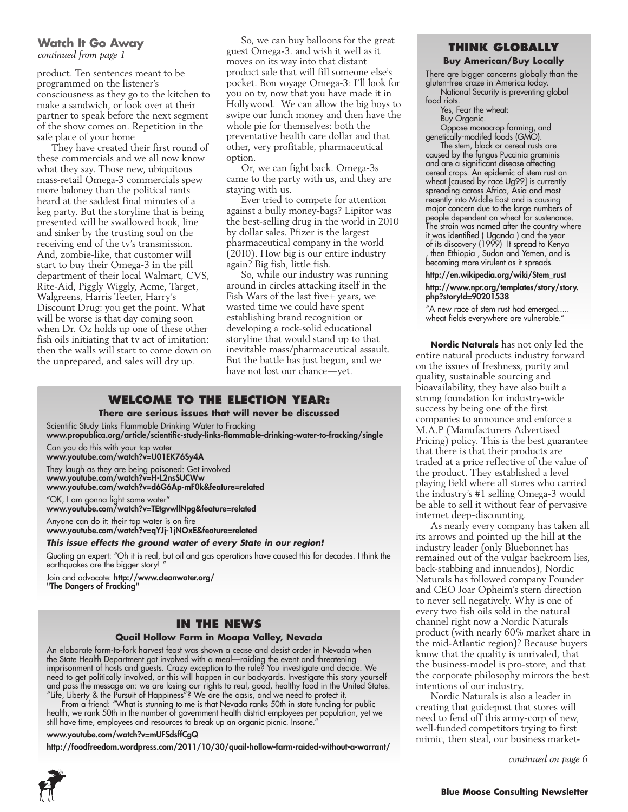#### **Watch It Go Away** *continued from page 1*

product. Ten sentences meant to be programmed on the listener's consciousness as they go to the kitchen to make a sandwich, or look over at their partner to speak before the next segment of the show comes on. Repetition in the safe place of your home

They have created their first round of these commercials and we all now know what they say. Those new, ubiquitous mass-retail Omega-3 commercials spew more baloney than the political rants heard at the saddest final minutes of a keg party. But the storyline that is being presented will be swallowed hook, line and sinker by the trusting soul on the receiving end of the tv's transmission. And, zombie-like, that customer will start to buy their Omega-3 in the pill department of their local Walmart, CVS, Rite-Aid, Piggly Wiggly, Acme, Target, Walgreens, Harris Teeter, Harry's Discount Drug: you get the point. What will be worse is that day coming soon when Dr. Oz holds up one of these other fish oils initiating that tv act of imitation: then the walls will start to come down on the unprepared, and sales will dry up.

So, we can buy balloons for the great guest Omega-3. and wish it well as it moves on its way into that distant product sale that will fill someone else's pocket. Bon voyage Omega-3: I'll look for you on tv, now that you have made it in Hollywood. We can allow the big boys to swipe our lunch money and then have the whole pie for themselves: both the preventative health care dollar and that other, very profitable, pharmaceutical option.

Or, we can fight back. Omega-3s came to the party with us, and they are staying with us.

Ever tried to compete for attention against a bully money-bags? Lipitor was the best-selling drug in the world in 2010 by dollar sales. Pfizer is the largest pharmaceutical company in the world (2010). How big is our entire industry again? Big fish, little fish.

So, while our industry was running around in circles attacking itself in the Fish Wars of the last five+ years, we wasted time we could have spent establishing brand recognition or developing a rock-solid educational storyline that would stand up to that inevitable mass/pharmaceutical assault. But the battle has just begun, and we have not lost our chance—yet.

#### **Welcome to the Election Year:**

**There are serious issues that will never be discussed**

Scientific Study Links Flammable Drinking Water to Fracking

www.propublica.org/article/scientific-study-links-flammable-drinking-water-to-fracking/single Can you do this with your tap water

www.youtube.com/watch?v=U01EK76Sy4A

They laugh as they are being poisoned: Get involved www.youtube.com/watch?v=H-L2nsSUCWw www.youtube.com/watch?v=d6G6Ap-mF0k&feature=related

"OK, I am gonna light some water"

www.youtube.com/watch?v=TEtgvwllNpg&feature=related

Anyone can do it: their tap water is on fire

www.youtube.com/watch?v=qYJj-1jNOxE&feature=related

#### *This issue effects the ground water of every State in our region!*

Quoting an expert: "Oh it is real, but oil and gas operations have caused this for decades. I think the earthquakes are the bigger story! "

Join and advocate: http://www.cleanwater.org/ "The Dangers of Fracking"

#### **In the News**

#### **Quail Hollow Farm in Moapa Valley, Nevada**

An elaborate farm-to-fork harvest feast was shown a cease and desist order in Nevada when the State Health Department got involved with a meal—raiding the event and threatening imprisonment of hosts and guests. Crazy exception to the rule? You investigate and decide. We need to get politically involved, or this will happen in our backyards. Investigate this story yourself and pass the message on: we are losing our rights to real, good, healthy food in the United States. "Life, Liberty & the Pursuit of Happiness"? We are the oasis, and we need to protect it.

From a friend: "What is stunning to me is that Nevada ranks 50th in state funding for public health, we rank 50th in the number of government health district employees per population, yet we still have time, employees and resources to break up an organic picnic. Insane."

#### www.youtube.com/watch?v=mUFSdsffCgQ

http://foodfreedom.wordpress.com/2011/10/30/quail-hollow-farm-raided-without-a-warrant/

#### **Think Globally**

#### **Buy American/Buy Locally**

There are bigger concerns globally than the gluten-free craze in America today. National Security is preventing global

food riots.

Yes, Fear the wheat:

Buy Organic.

Oppose monocrop farming, and genetically-modifed foods (GMO).

The stem, black or cereal rusts are caused by the fungus Puccinia graminis and are a significant disease affecting cereal crops. An epidemic of stem rust on wheat [caused by race Ug99] is currently spreading across Africa, Asia and most recently into Middle East and is causing major concern due to the large numbers of people dependent on wheat for sustenance. The strain was named after the country where it was identified ( Uganda ) and the year of its discovery (1999) It spread to Kenya , then Ethiopia , Sudan and Yemen, and is becoming more virulent as it spreads.

#### http://en.wikipedia.org/wiki/Stem\_rust http://www.npr.org/templates/story/story. php?storyId=90201538

"A new race of stem rust had emerged..... wheat fields everywhere are vulnerable."

**Nordic Naturals** has not only led the entire natural products industry forward on the issues of freshness, purity and quality, sustainable sourcing and bioavailability, they have also built a strong foundation for industry-wide success by being one of the first companies to announce and enforce a M.A.P (Manufacturers Advertised Pricing) policy. This is the best guarantee that there is that their products are traded at a price reflective of the value of the product. They established a level playing field where all stores who carried the industry's #1 selling Omega-3 would be able to sell it without fear of pervasive internet deep-discounting.

As nearly every company has taken all its arrows and pointed up the hill at the industry leader (only Bluebonnet has remained out of the vulgar backroom lies, back-stabbing and innuendos), Nordic Naturals has followed company Founder and CEO Joar Opheim's stern direction to never sell negatively. Why is one of every two fish oils sold in the natural channel right now a Nordic Naturals product (with nearly 60% market share in the mid-Atlantic region)? Because buyers know that the quality is unrivaled, that the business-model is pro-store, and that the corporate philosophy mirrors the best intentions of our industry.

Nordic Naturals is also a leader in creating that guidepost that stores will need to fend off this army-corp of new, well-funded competitors trying to first mimic, then steal, our business market-

*continued on page 6*

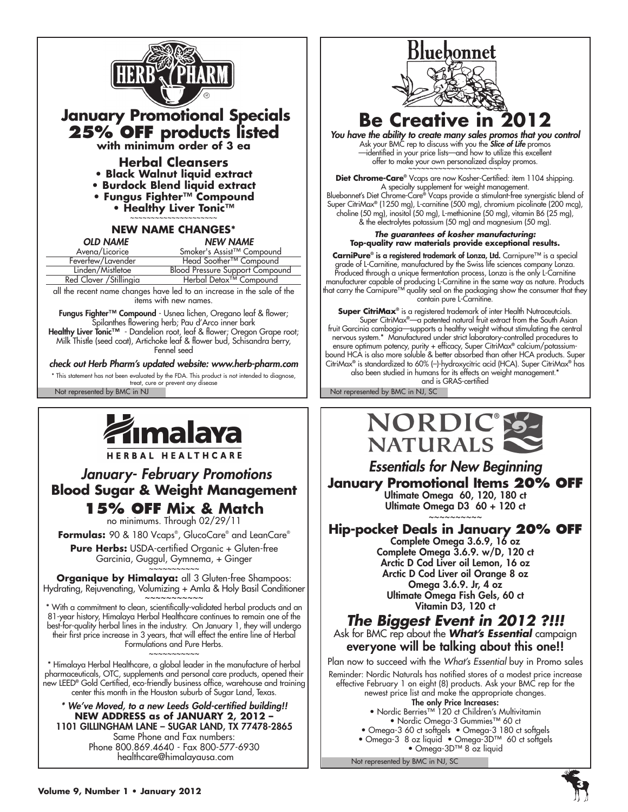



HERBAL HEALTHCARE

## *January- February Promotions* **Blood Sugar & Weight Management 15% OFF Mix & Match**

no minimums. Through 02/29/11

**Formulas:** 90 & 180 Vcaps® , GlucoCare® and LeanCare®

**Pure Herbs:** USDA-certified Organic + Gluten-free Garcinia, Guggul, Gymnema, + Ginger

~~~~~~~~~~~ **Organique by Himalaya:** all 3 Gluten-free Shampoos: Hydrating, Rejuvenating, Volumizing + Amla & Holy Basil Conditioner

With a commitment to clean, scientifically-validated herbal products and an 81-year history, Himalaya Herbal Healthcare continues to remain one of the best-for-quality herbal lines in the industry. On January 1, they will undergo their first price increase in 3 years, that will effect the entire line of Herbal Formulations and Pure Herbs. ~~~~~~~~~~~

\* Himalaya Herbal Healthcare, a global leader in the manufacture of herbal pharmaceuticals, OTC, supplements and personal care products, opened their new LEED® Gold Certified, eco-friendly business office, warehouse and training center this month in the Houston suburb of Sugar Land, Texas.

*\* We've Moved, to a new Leeds Gold-certified building!!* **NEW ADDRESS as of JANUARY 2, 2012 –** 1101 GILLINGHAM LANE – SUGAR LAND, TX 77478-2865 Same Phone and Fax numbers: Phone 800.869.4640 - Fax 800-577-6930 healthcare@himalayausa.com



**Be Creative in 2012**

*You have the ability to create many sales promos that you control* Ask your BMC rep to discuss with you the *Slice of Life* promos —identified in your price lists—and how to utilize this excellent offer to make your own personalized display promos.

**Diet Chrome-Care**® Vcaps are now Kosher-Certified: item 1104 shipping. A specialty supplement for weight management. Bluebonnet's Diet Chrome-Care® Vcaps provide a stimulant-free synergistic blend of Super CitriMax® (1250 mg), L-carnitine (500 mg), chromium picolinate (200 mcg), choline (50 mg), inositol (50 mg), L-methionine (50 mg), vitamin B6 (25 mg), & the electrolytes potassium (50 mg) and magnesium (50 mg).

*The guarantees of kosher manufacturing:* **Top-quality raw materials provide exceptional results.**

**CarniPure**® is a registered trademark of Lonza, Ltd. Carnipure™ is a special grade of L-Carnitine, manufactured by the Swiss life sciences company Lonza. Produced through a unique fermentation process, Lonza is the only L-Carnitine manufacturer capable of producing L-Carnitine in the same way as nature. Products that carry the Carnipure™ quality seal on the packaging show the consumer that they contain pure L-Carnitine.

**Super CitriMax**® is a registered trademark of inter Health Nutraceutcials. Super CitriMax®—a patented natural fruit extract from the South Asian fruit Garcinia cambogia—supports a healthy weight without stimulating the central nervous system.\* Manufactured under strict laboratory-controlled procedures to ensure optimum potency, purity + efficacy, Super CitriMax® calcium/potassiumbound HCA is also more soluble & better absorbed than other HCA products. Super CitriMax® is standardized to 60% (–)-hydroxycitric acid (HCA). Super CitriMax® has also been studied in humans for its effects on weight management.\* and is GRAS-certified

Not represented by BMC in NJ Not represented by BMC in NJ, SC



*Essentials for New Beginning* **January Promotional Items 20% OFF** Ultimate Omega 60, 120, 180 ct Ultimate Omega D3 60 + 120 ct

~~~~~~~~~~ **Hip-pocket Deals in January 20% off**

Complete Omega 3.6.9, 16 oz Complete Omega 3.6.9. w/D, 120 ct Arctic D Cod Liver oil Lemon, 16 oz Arctic D Cod Liver oil Orange 8 oz Omega 3.6.9. Jr, 4 oz Ultimate Omega Fish Gels, 60 ct Vitamin D3, 120 ct

## *The Biggest Event in 2012 ?!!!*

Ask for BMC rep about the *What's Essential* campaign everyone will be talking about this one!!

Plan now to succeed with the *What's Essential* buy in Promo sales Reminder: Nordic Naturals has notified stores of a modest price increase effective February 1 on eight (8) products. Ask your BMC rep for the newest price list and make the appropriate changes. The only Price Increases:

• Nordic Berries™ 120 ct Children's Multivitamin • Nordic Omega-3 Gummies™ 60 ct

- Omega-3 60 ct softgels Omega-3 180 ct softgels
- Omega-3 8 oz liquid Omega-3D™ 60 ct softgels • Omega-3D™ 8 oz liquid

Not represented by BMC in NJ, SC

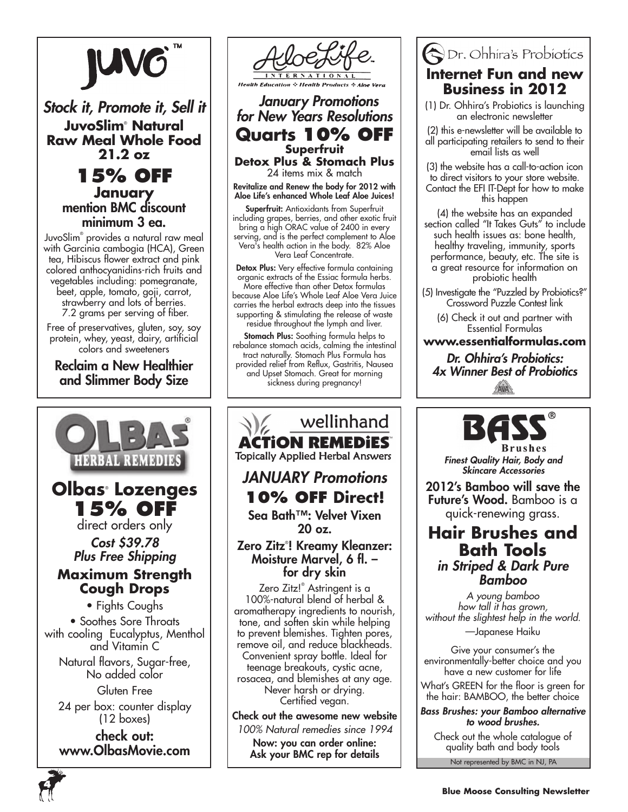

## *Stock it, Promote it, Sell it* **JuvoSlim**®  **Natural Raw Meal Whole Food 21.2 oz**

**15% off January** mention BMC discount minimum 3 ea.

JuvoSlim® provides a natural raw meal with Garcinia cambogia (HCA), Green tea, Hibiscus flower extract and pink colored anthocyanidins-rich fruits and vegetables including: pomegranate, beet, apple, tomato, goji, carrot, strawberry and lots of berries. 7.2 grams per serving of fiber.

Free of preservatives, gluten, soy, soy protein, whey, yeast, dairy, artificial colors and sweeteners

Reclaim a New Healthier and Slimmer Body Size



check out: www.OlbasMovie.com



 *January Promotions for New Years Resolutions* **Quarts 10% off Superfruit Detox Plus & Stomach Plus**

24 items mix & match

Revitalize and Renew the body for 2012 with Aloe Life's enhanced Whole Leaf Aloe Juices!

Superfruit: Antioxidants from Superfruit including grapes, berries, and other exotic fruit bring a high ORAC value of 2400 in every serving, and is the perfect complement to Aloe Vera's health action in the body. 82% Aloe Vera Leaf Concentrate.

Detox Plus: Very effective formula containing organic extracts of the Essiac formula herbs. More effective than other Detox formulas because Aloe Life's Whole Leaf Aloe Vera Juice carries the herbal extracts deep into the tissues supporting & stimulating the release of waste residue throughout the lymph and liver.

Stomach Plus: Soothing formula helps to rebalance stomach acids, calming the intestinal tract naturally. Stomach Plus Formula has provided relief from Reflux, Gastritis, Nausea and Upset Stomach. Great for morning sickness during pregnancy!

wellinhand **ACTION REMEDIES Topically Applied Herbal Answers** *JANUARY Promotions* **10% Off Direct!**  Sea Bath™: Velvet Vixen

20 oz.

### Zero Zitz® ! Kreamy Kleanzer: Moisture Marvel, 6 fl. – for dry skin

Zero Zitz!® Astringent is a 100%-natural blend of herbal & aromatherapy ingredients to nourish, tone, and soften skin while helping to prevent blemishes. Tighten pores, remove oil, and reduce blackheads. Convenient spray bottle. Ideal for teenage breakouts, cystic acne, rosacea, and blemishes at any age. Never harsh or drying. Certified vegan.

Check out the awesome new website *100% Natural remedies since 1994* Now: you can order online: Ask your BMC rep for details

## **ODr.** Ohhira's Probiotics **Internet Fun and new Business in 2012**

- (1) Dr. Ohhira's Probiotics is launching an electronic newsletter
- (2) this e-newsletter will be available to all participating retailers to send to their email lists as well

(3) the website has a call-to-action icon to direct visitors to your store website. Contact the EFI IT-Dept for how to make this happen

(4) the website has an expanded section called "It Takes Guts" to include such health issues as: bone health, healthy traveling, immunity, sports performance, beauty, etc. The site is a great resource for information on probiotic health

(5) Investigate the "Puzzled by Probiotics?" Crossword Puzzle Contest link

(6) Check it out and partner with Essential Formulas

**www.essentialformulas.com**

*Dr. Ohhira's Probiotics: 4x Winner Best of Probiotics*AVA



*Finest Quality Hair, Body and Skincare Accessories*

2012's Bamboo will save the Future's Wood. Bamboo is a quick-renewing grass.

## **Hair Brushes and Bath Tools** *in Striped & Dark Pure Bamboo*

*A young bamboo how tall it has grown, without the slightest help in the world.* —Japanese Haiku

Give your consumer's the environmentally-better choice and you have a new customer for life

What's GREEN for the floor is green for the hair: BAMBOO, the better choice

#### *Bass Brushes: your Bamboo alternative to wood brushes.*

Not represented by BMC in NJ, PA Check out the whole catalogue of quality bath and body tools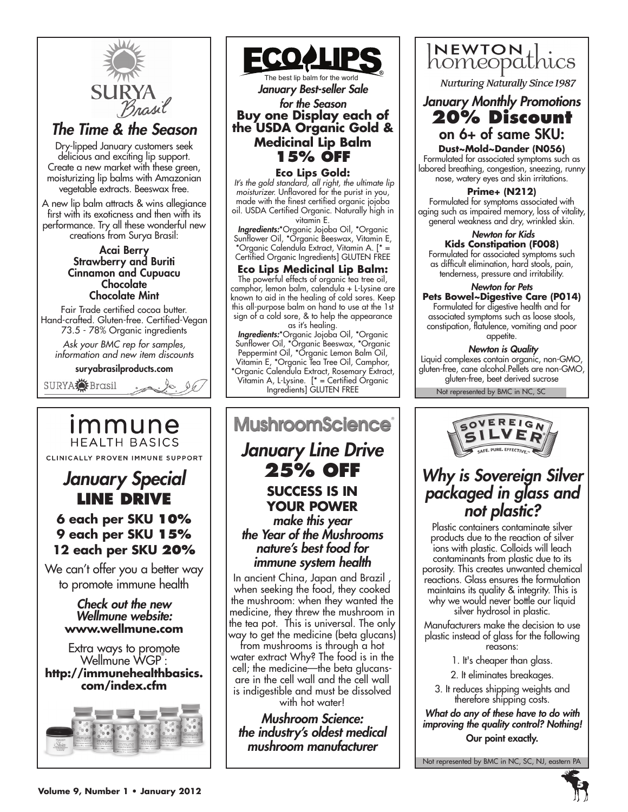

## **6 each per SKU 10% 9 each per SKU 15% 12 each per SKU 20%**

We can't offer you a better way to promote immune health

#### *Check out the new Wellmune website:* **www.wellmune.com**

Extra ways to promote Wellmune WGP<sup>®</sup>: **http://immunehealthbasics. com/index.cfm**





*January Best-seller Sale for the Season* **Buy one Display each of the USDA Organic Gold & Medicinal Lip Balm 15% off**

**Eco Lips Gold:**

 *It's the gold standard, all right, the ultimate lip moisturizer.* Unflavored for the purist in you, made with the finest certified organic jojoba oil. USDA Certified Organic. Naturally high in vitamin E.

*Ingredients:*\*Organic Jojoba Oil, \*Organic Sunflower Oil, \*Organic Beeswax, Vitamin E, \*Organic Calendula Extract, Vitamin A. [\* = Certified Organic Ingredients] GLUTEN FREE

### **Eco Lips Medicinal Lip Balm:**

The powerful effects of organic tea tree oil, camphor, lemon balm, calendula + L-Lysine are known to aid in the healing of cold sores. Keep this all-purpose balm on hand to use at the 1st sign of a cold sore, & to help the appearance as it's healing.

*Ingredients:*\*Organic Jojoba Oil, \*Organic Sunflower Oil, \*Organic Beeswax, \*Organic Peppermint Oil, \*Organic Lemon Balm Oil, Vitamin E, \*Organic Tea Tree Oil, Camphor, \*Organic Calendula Extract, Rosemary Extract, Vitamin A, L-Lysine. [\* = Certified Organic Ingredients] GLUTEN FREE

## **MushroomScience** *January Line Drive* **25% OFF Success is in your power** *make this year the Year of the Mushrooms nature's best food for*

*immune system health* In ancient China, Japan and Brazil , when seeking the food, they cooked the mushroom: when they wanted the medicine, they threw the mushroom in the tea pot. This is universal. The only way to get the medicine (beta glucans)

from mushrooms is through a hot water extract Why? The food is in the cell; the medicine—the beta glucansare in the cell wall and the cell wall is indigestible and must be dissolved with hot water!

*Mushroom Science: the industry's oldest medical mushroom manufacturer*



**Nurturing Naturally Since 1987** 

## *January Monthly Promotions* **20% Discount** on 6+ of same SKU:

**Dust~Mold~Dander (N056)** Formulated for associated symptoms such as labored breathing, congestion, sneezing, runny nose, watery eyes and skin irritations.

#### **Prime+ (N212)**

Formulated for symptoms associated with aging such as impaired memory, loss of vitality, general weakness and dry, wrinkled skin.

 *Newton for Kids* **Kids Constipation (F008)** Formulated for associated symptoms such as difficult elimination, hard stools, pain,

tenderness, pressure and irritability. *Newton for Pets*

## **Pets Bowel~Digestive Care (P014)**

Formulated for digestive health and for associated symptoms such as loose stools, constipation, flatulence, vomiting and poor appetite.

#### *Newton is Quality*

Liquid complexes contain organic, non-GMO, gluten-free, cane alcohol.Pellets are non-GMO, gluten-free, beet derived sucrose

Not represented by BMC in NC, SC



## *Why is Sovereign Silver packaged in glass and not plastic?*

Plastic containers contaminate silver products due to the reaction of silver ions with plastic. Colloids will leach contaminants from plastic due to its porosity. This creates unwanted chemical reactions. Glass ensures the formulation maintains its quality & integrity. This is why we would never bottle our liquid silver hydrosol in plastic.

Manufacturers make the decision to use plastic instead of glass for the following reasons:

- 1. It's cheaper than glass.
- 2. It eliminates breakages.
- 3. It reduces shipping weights and therefore shipping costs.

*What do any of these have to do with improving the quality control? Nothing!* Our point exactly.

Not represented by BMC in NC, SC, NJ, eastern PA

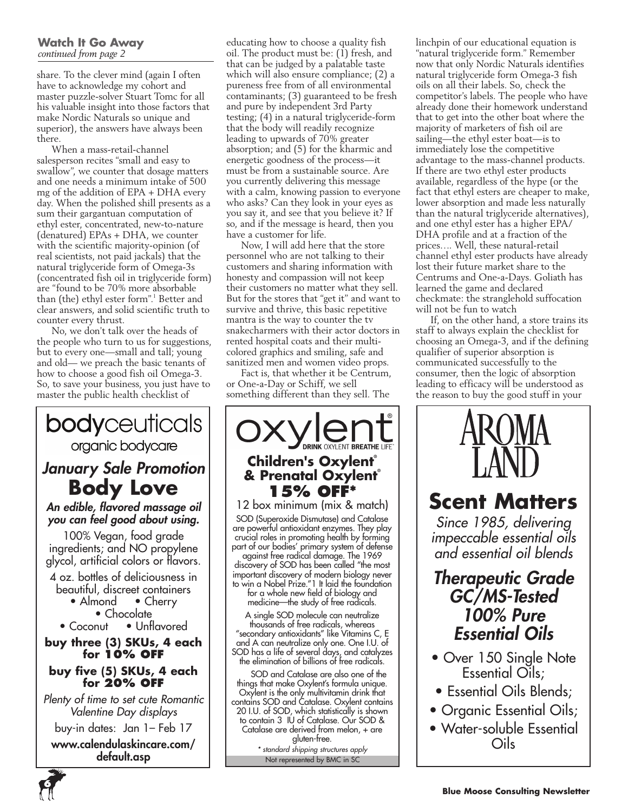#### **Watch It Go Away** *continued from page 2*

share. To the clever mind (again I often have to acknowledge my cohort and master puzzle-solver Stuart Tomc for all his valuable insight into those factors that make Nordic Naturals so unique and superior), the answers have always been there.

When a mass-retail-channel salesperson recites "small and easy to swallow", we counter that dosage matters and one needs a minimum intake of 500 mg of the addition of EPA + DHA every day. When the polished shill presents as a sum their gargantuan computation of ethyl ester, concentrated, new-to-nature (denatured) EPAs + DHA, we counter with the scientific majority-opinion (of real scientists, not paid jackals) that the natural triglyceride form of Omega-3s (concentrated fish oil in triglyceride form) are "found to be 70% more absorbable than (the) ethyl ester form".<sup>1</sup> Better and clear answers, and solid scientific truth to counter every thrust.

No, we don't talk over the heads of the people who turn to us for suggestions, but to every one—small and tall; young and old— we preach the basic tenants of how to choose a good fish oil Omega-3. So, to save your business, you just have to master the public health checklist of



educating how to choose a quality fish oil. The product must be: (1) fresh, and that can be judged by a palatable taste which will also ensure compliance; (2) a pureness free from of all environmental contaminants; (3) guaranteed to be fresh and pure by independent 3rd Party testing; (4) in a natural triglyceride-form that the body will readily recognize leading to upwards of 70% greater absorption; and (5) for the kharmic and energetic goodness of the process—it must be from a sustainable source. Are you currently delivering this message with a calm, knowing passion to everyone who asks? Can they look in your eyes as you say it, and see that you believe it? If so, and if the message is heard, then you have a customer for life.

Now, I will add here that the store personnel who are not talking to their customers and sharing information with honesty and compassion will not keep their customers no matter what they sell. But for the stores that "get it" and want to survive and thrive, this basic repetitive mantra is the way to counter the tv snakecharmers with their actor doctors in rented hospital coats and their multicolored graphics and smiling, safe and sanitized men and women video props.

Fact is, that whether it be Centrum, or One-a-Day or Schiff, we sell something different than they sell. The



Catalase are derived from melon, + are gluten-free.

Not represented by BMC in SC *\* standard shipping structures apply* linchpin of our educational equation is "natural triglyceride form." Remember now that only Nordic Naturals identifies natural triglyceride form Omega-3 fish oils on all their labels. So, check the competitor's labels. The people who have already done their homework understand that to get into the other boat where the majority of marketers of fish oil are sailing—the ethyl ester boat—is to immediately lose the competitive advantage to the mass-channel products. If there are two ethyl ester products available, regardless of the hype (or the fact that ethyl esters are cheaper to make, lower absorption and made less naturally than the natural triglyceride alternatives), and one ethyl ester has a higher EPA/ DHA profile and at a fraction of the prices…. Well, these natural-retail channel ethyl ester products have already lost their future market share to the Centrums and One-a-Days. Goliath has learned the game and declared checkmate: the stranglehold suffocation will not be fun to watch

If, on the other hand, a store trains its staff to always explain the checklist for choosing an Omega-3, and if the defining qualifier of superior absorption is communicated successfully to the consumer, then the logic of absorption leading to efficacy will be understood as the reason to buy the good stuff in your



# **Scent Matters**

*Since 1985, delivering impeccable essential oils and essential oil blends*

*Therapeutic Grade GC/MS-Tested 100% Pure Essential Oils*

- Over 150 Single Note Essential Oils;
- Essential Oils Blends;
- Organic Essential Oils;
- Water-soluble Essential Oils

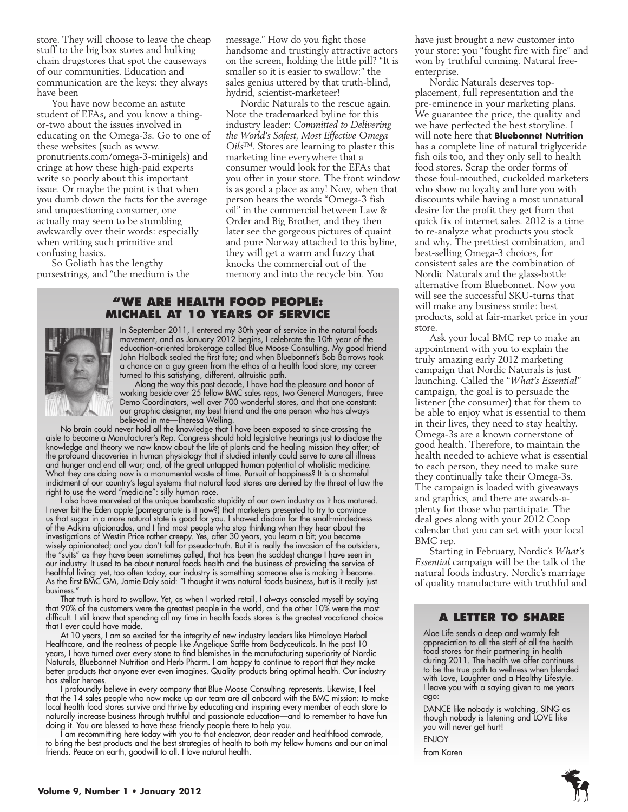store. They will choose to leave the cheap stuff to the big box stores and hulking chain drugstores that spot the causeways of our communities. Education and communication are the keys: they always have been

You have now become an astute student of EFAs, and you know a thingor-two about the issues involved in educating on the Omega-3s. Go to one of these websites (such as www. pronutrients.com/omega-3-minigels) and cringe at how these high-paid experts write so poorly about this important issue. Or maybe the point is that when you dumb down the facts for the average and unquestioning consumer, one actually may seem to be stumbling awkwardly over their words: especially when writing such primitive and confusing basics.

So Goliath has the lengthy pursestrings, and "the medium is the message." How do you fight those handsome and trustingly attractive actors on the screen, holding the little pill? "It is smaller so it is easier to swallow:" the sales genius uttered by that truth-blind, hydrid, scientist-marketeer!

Nordic Naturals to the rescue again. Note the trademarked byline for this industry leader: *Committed to Delivering the World's Safest, Most Effective Omega Oils*™. Stores are learning to plaster this marketing line everywhere that a consumer would look for the EFAs that you offer in your store. The front window is as good a place as any! Now, when that person hears the words "Omega-3 fish oil" in the commercial between Law & Order and Big Brother, and they then later see the gorgeous pictures of quaint and pure Norway attached to this byline, they will get a warm and fuzzy that knocks the commercial out of the memory and into the recycle bin. You

#### **"We Are health food people: Michael at 10 years of service**



In September 2011, I entered my 30th year of service in the natural foods movement, and as January 2012 begins, I celebrate the 10th year of the education-oriented brokerage called Blue Moose Consulting. My good friend John Holback sealed the first fate; and when Bluebonnet's Bob Barrows took a chance on a guy green from the ethos of a health food store, my career turned to this satisfying, different, altruistic path.

Along the way this past decade, I have had the pleasure and honor of working beside over 25 fellow BMC sales reps, two General Managers, three Demo Coordinators, well over 700 wonderful stores, and that one constant: our graphic designer, my best friend and the one person who has always believed in me—Theresa Welling.

No brain could never hold all the knowledge that I have been exposed to since crossing the aisle to become a Manufacturer's Rep. Congress should hold legislative hearings just to disclose the knowledge and theory we now know about the life of plants and the healing mission they offer; of the profound discoveries in human physiology that if studied intently could serve to cure all illness and hunger and end all war; and, of the great untapped human potential of wholistic medicine. What they are doing now is a monumental waste of time. Pursuit of happiness? It is a shameful indictment of our country's legal systems that natural food stores are denied by the threat of law the right to use the word "medicine": silly human race.

I also have marveled at the unique bombastic stupidity of our own industry as it has matured. I never bit the Eden apple (pomegranate is it now?) that marketers presented to try to convince us that sugar in a more natural state is good for you. I showed disdain for the small-mindedness of the Adkins aficionados, and I find most people who stop thinking when they hear about the investigations of Westin Price rather creepy. Yes, after 30 years, you learn a bit; you become wisely opinionated; and you don't fall for pseudo-truth. But it is really the invasion of the outsiders, the "suits" as they have been sometimes called, that has been the saddest change I have seen in our industry. It used to be about natural foods health and the business of providing the service of healthful living: yet, too often today, our industry is something someone else is making it become. As the first BMC GM, Jamie Daly said: "I thought it was natural foods business, but is it really just business."

That truth is hard to swallow. Yet, as when I worked retail, I always consoled myself by saying that 90% of the customers were the greatest people in the world, and the other 10% were the most difficult. I still know that spending all my time in health foods stores is the greatest vocational choice that I ever could have made.

At 10 years, I am so excited for the integrity of new industry leaders like Himalaya Herbal Healthcare, and the realness of people like Angelique Saffle from Bodyceuticals. In the past 10 years, I have turned over every stone to find blemishes in the manufacturing superiority of Nordic Naturals, Bluebonnet Nutrition and Herb Pharm. I am happy to continue to report that they make better products that anyone ever even imagines. Quality products bring optimal health. Our industry has stellar heroes.

I profoundly believe in every company that Blue Moose Consulting represents. Likewise, I feel that the 14 sales people who now make up our team are all onboard with the BMC mission: to make local health food stores survive and thrive by educating and inspiring every member of each store to naturally increase business through truthful and passionate education—and to remember to have fun doing it. You are blessed to have these friendly people there to help you.

I am recommitting here today with you to that endeavor, dear reader and healthfood comrade, to bring the best products and the best strategies of health to both my fellow humans and our animal friends. Peace on earth, goodwill to all. I love natural health.

have just brought a new customer into your store: you "fought fire with fire" and won by truthful cunning. Natural freeenterprise.

Nordic Naturals deserves topplacement, full representation and the pre-eminence in your marketing plans. We guarantee the price, the quality and we have perfected the best storyline. I will note here that **Bluebonnet Nutrition** has a complete line of natural triglyceride fish oils too, and they only sell to health food stores. Scrap the order forms of those foul-mouthed, cuckolded marketers who show no loyalty and lure you with discounts while having a most unnatural desire for the profit they get from that quick fix of internet sales. 2012 is a time to re-analyze what products you stock and why. The prettiest combination, and best-selling Omega-3 choices, for consistent sales are the combination of Nordic Naturals and the glass-bottle alternative from Bluebonnet. Now you will see the successful SKU-turns that will make any business smile: best products, sold at fair-market price in your store.

Ask your local BMC rep to make an appointment with you to explain the truly amazing early 2012 marketing campaign that Nordic Naturals is just launching. Called the "*What's Essential*" campaign, the goal is to persuade the listener (the consumer) that for them to be able to enjoy what is essential to them in their lives, they need to stay healthy. Omega-3s are a known cornerstone of good health. Therefore, to maintain the health needed to achieve what is essential to each person, they need to make sure they continually take their Omega-3s. The campaign is loaded with giveaways and graphics, and there are awards-aplenty for those who participate. The deal goes along with your 2012 Coop calendar that you can set with your local BMC rep.

Starting in February, Nordic's *What's Essential* campaign will be the talk of the natural foods industry. Nordic's marriage of quality manufacture with truthful and

#### **A Letter to Share**

Aloe Life sends a deep and warmly felt appreciation to all the staff of all the health food stores for their partnering in health during 2011. The health we offer continues to be the true path to wellness when blended with Love, Laughter and a Healthy Lifestyle. I leave you with a saying given to me years ago:

DANCE like nobody is watching, SING as though nobody is listening and LOVE like you will never get hurt!

ENJOY

from Karen